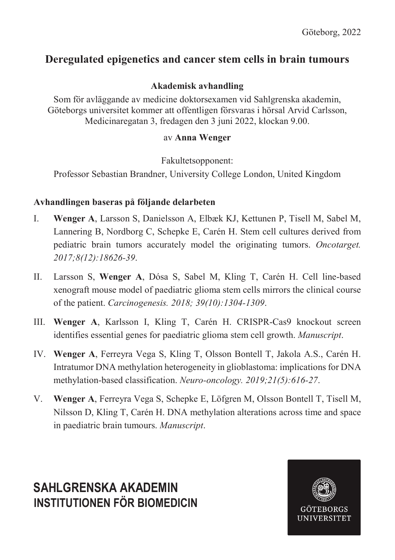# **Deregulated epigenetics and cancer stem cells in brain tumours**

## **Akademisk avhandling**

Som för avläggande av medicine doktorsexamen vid Sahlgrenska akademin, Göteborgs universitet kommer att offentligen försvaras i hörsal Arvid Carlsson, Medicinaregatan 3, fredagen den 3 juni 2022, klockan 9.00.

#### av **Anna Wenger**

Fakultetsopponent:

Professor Sebastian Brandner, University College London, United Kingdom

## **Avhandlingen baseras på följande delarbeten**

- I. **Wenger A**, Larsson S, Danielsson A, Elbæk KJ, Kettunen P, Tisell M, Sabel M, Lannering B, Nordborg C, Schepke E, Carén H. Stem cell cultures derived from pediatric brain tumors accurately model the originating tumors. *Oncotarget. 2017;8(12):18626-39*.
- II. Larsson S, **Wenger A**, Dósa S, Sabel M, Kling T, Carén H. Cell line-based xenograft mouse model of paediatric glioma stem cells mirrors the clinical course of the patient. *Carcinogenesis. 2018; 39(10):1304-1309*.
- III. **Wenger A**, Karlsson I, Kling T, Carén H. CRISPR-Cas9 knockout screen identifies essential genes for paediatric glioma stem cell growth. *Manuscript*.
- IV. **Wenger A**, Ferreyra Vega S, Kling T, Olsson Bontell T, Jakola A.S., Carén H. Intratumor DNA methylation heterogeneity in glioblastoma: implications for DNA methylation-based classification. *Neuro-oncology. 2019;21(5):616-27*.
- V. **Wenger A**, Ferreyra Vega S, Schepke E, Löfgren M, Olsson Bontell T, Tisell M, Nilsson D, Kling T, Carén H. DNA methylation alterations across time and space in paediatric brain tumours. *Manuscript*.

# **SAHLGRENSKA AKADEMIN INSTITUTIONEN FÖR BIOMEDICIN**